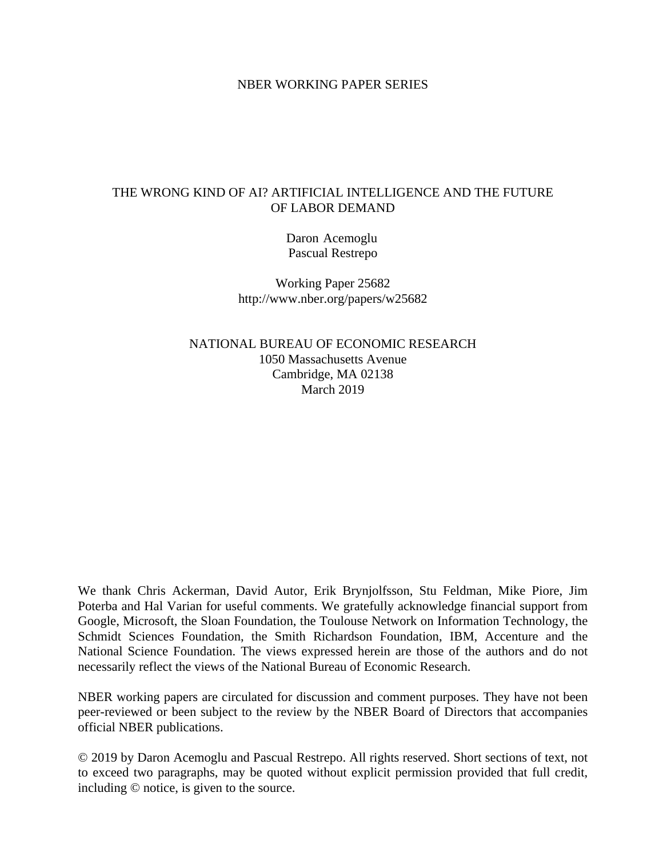#### NBER WORKING PAPER SERIES

### THE WRONG KIND OF AI? ARTIFICIAL INTELLIGENCE AND THE FUTURE OF LABOR DEMAND

Daron Acemoglu Pascual Restrepo

Working Paper 25682 http://www.nber.org/papers/w25682

NATIONAL BUREAU OF ECONOMIC RESEARCH 1050 Massachusetts Avenue Cambridge, MA 02138 March 2019

We thank Chris Ackerman, David Autor, Erik Brynjolfsson, Stu Feldman, Mike Piore, Jim Poterba and Hal Varian for useful comments. We gratefully acknowledge financial support from Google, Microsoft, the Sloan Foundation, the Toulouse Network on Information Technology, the Schmidt Sciences Foundation, the Smith Richardson Foundation, IBM, Accenture and the National Science Foundation. The views expressed herein are those of the authors and do not necessarily reflect the views of the National Bureau of Economic Research.

NBER working papers are circulated for discussion and comment purposes. They have not been peer-reviewed or been subject to the review by the NBER Board of Directors that accompanies official NBER publications.

© 2019 by Daron Acemoglu and Pascual Restrepo. All rights reserved. Short sections of text, not to exceed two paragraphs, may be quoted without explicit permission provided that full credit, including © notice, is given to the source.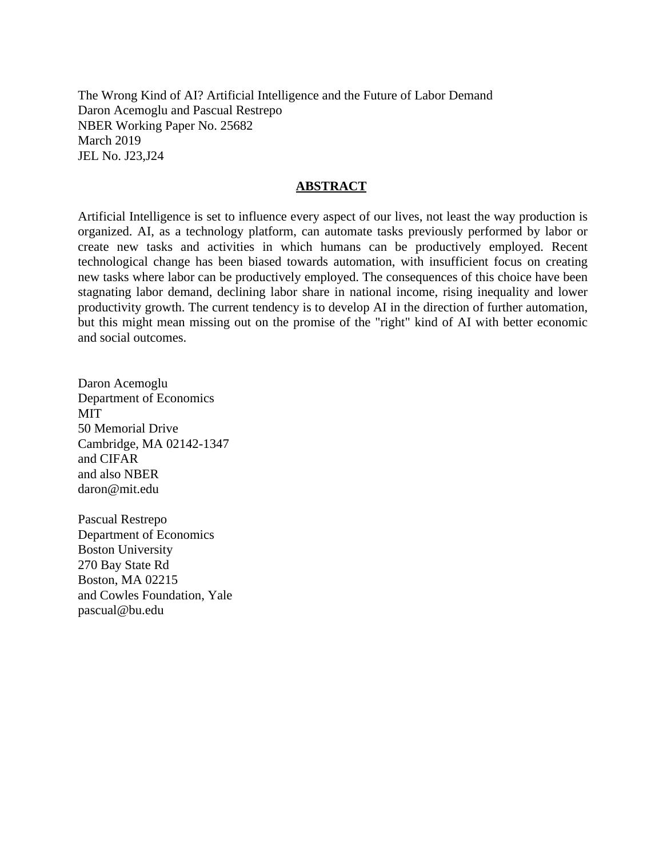The Wrong Kind of AI? Artificial Intelligence and the Future of Labor Demand Daron Acemoglu and Pascual Restrepo NBER Working Paper No. 25682 March 2019 JEL No. J23,J24

#### **ABSTRACT**

Artificial Intelligence is set to influence every aspect of our lives, not least the way production is organized. AI, as a technology platform, can automate tasks previously performed by labor or create new tasks and activities in which humans can be productively employed. Recent technological change has been biased towards automation, with insufficient focus on creating new tasks where labor can be productively employed. The consequences of this choice have been stagnating labor demand, declining labor share in national income, rising inequality and lower productivity growth. The current tendency is to develop AI in the direction of further automation, but this might mean missing out on the promise of the "right" kind of AI with better economic and social outcomes.

Daron Acemoglu Department of Economics MIT 50 Memorial Drive Cambridge, MA 02142-1347 and CIFAR and also NBER daron@mit.edu

Pascual Restrepo Department of Economics Boston University 270 Bay State Rd Boston, MA 02215 and Cowles Foundation, Yale pascual@bu.edu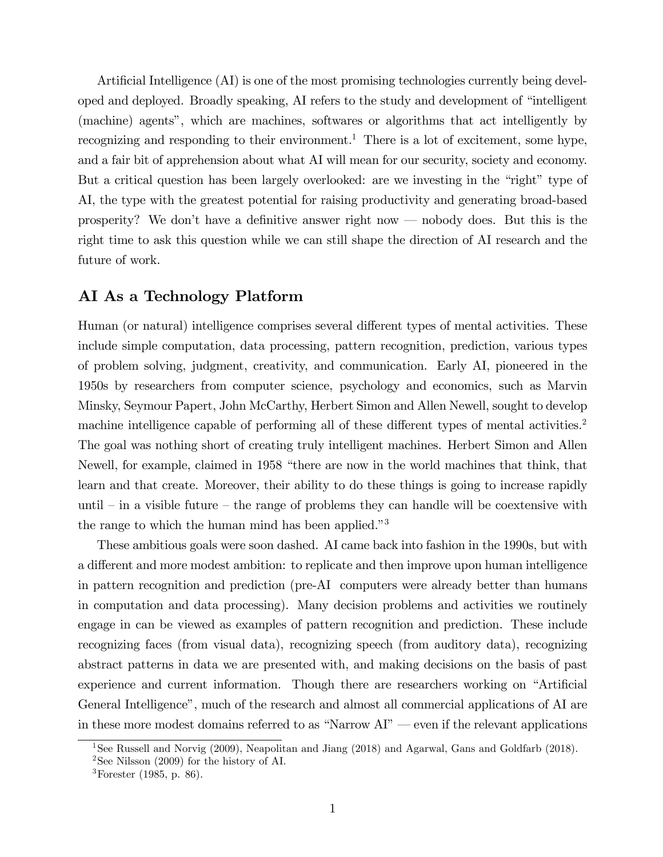Artificial Intelligence  $(AI)$  is one of the most promising technologies currently being developed and deployed. Broadly speaking, AI refers to the study and development of "intelligent" (machine) agentsî, which are machines, softwares or algorithms that act intelligently by recognizing and responding to their environment.<sup>1</sup> There is a lot of excitement, some hype, and a fair bit of apprehension about what AI will mean for our security, society and economy. But a critical question has been largely overlooked: are we investing in the "right" type of AI, the type with the greatest potential for raising productivity and generating broad-based prosperity? We don't have a definitive answer right now  $-$  nobody does. But this is the right time to ask this question while we can still shape the direction of AI research and the future of work.

## AI As a Technology Platform

Human (or natural) intelligence comprises several different types of mental activities. These include simple computation, data processing, pattern recognition, prediction, various types of problem solving, judgment, creativity, and communication. Early AI, pioneered in the 1950s by researchers from computer science, psychology and economics, such as Marvin Minsky, Seymour Papert, John McCarthy, Herbert Simon and Allen Newell, sought to develop machine intelligence capable of performing all of these different types of mental activities.<sup>2</sup> The goal was nothing short of creating truly intelligent machines. Herbert Simon and Allen Newell, for example, claimed in 1958 "there are now in the world machines that think, that learn and that create. Moreover, their ability to do these things is going to increase rapidly until  $-\text{in}$  a visible future  $-\text{the range of problems they can handle will be coextensive with}$ the range to which the human mind has been applied."<sup>3</sup>

These ambitious goals were soon dashed. AI came back into fashion in the 1990s, but with a different and more modest ambition: to replicate and then improve upon human intelligence in pattern recognition and prediction (pre-AI computers were already better than humans in computation and data processing). Many decision problems and activities we routinely engage in can be viewed as examples of pattern recognition and prediction. These include recognizing faces (from visual data), recognizing speech (from auditory data), recognizing abstract patterns in data we are presented with, and making decisions on the basis of past experience and current information. Though there are researchers working on "Artificial" General Intelligence", much of the research and almost all commercial applications of AI are in these more modest domains referred to as "Narrow  $AI"$  even if the relevant applications

<sup>&</sup>lt;sup>1</sup>See Russell and Norvig (2009), Neapolitan and Jiang (2018) and Agarwal, Gans and Goldfarb (2018).

<sup>&</sup>lt;sup>2</sup>See Nilsson (2009) for the history of AI.

 ${}^{3}$ Forester (1985, p. 86).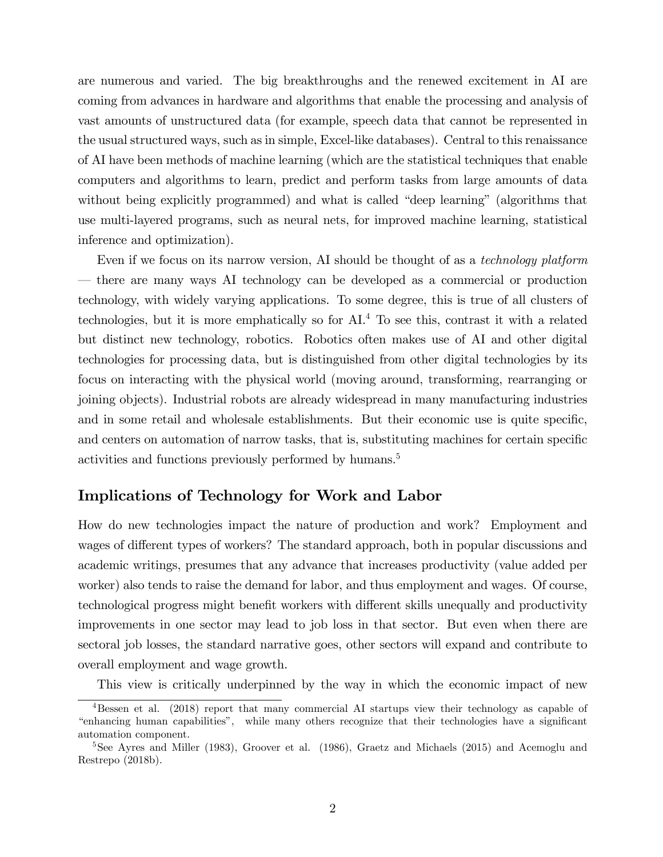are numerous and varied. The big breakthroughs and the renewed excitement in AI are coming from advances in hardware and algorithms that enable the processing and analysis of vast amounts of unstructured data (for example, speech data that cannot be represented in the usual structured ways, such as in simple, Excel-like databases). Central to this renaissance of AI have been methods of machine learning (which are the statistical techniques that enable computers and algorithms to learn, predict and perform tasks from large amounts of data without being explicitly programmed) and what is called "deep learning" (algorithms that use multi-layered programs, such as neural nets, for improved machine learning, statistical inference and optimization).

Even if we focus on its narrow version, AI should be thought of as a *technology platform* ó there are many ways AI technology can be developed as a commercial or production technology, with widely varying applications. To some degree, this is true of all clusters of technologies, but it is more emphatically so for AI.<sup>4</sup> To see this, contrast it with a related but distinct new technology, robotics. Robotics often makes use of AI and other digital technologies for processing data, but is distinguished from other digital technologies by its focus on interacting with the physical world (moving around, transforming, rearranging or joining objects). Industrial robots are already widespread in many manufacturing industries and in some retail and wholesale establishments. But their economic use is quite specific, and centers on automation of narrow tasks, that is, substituting machines for certain specific activities and functions previously performed by humans.<sup>5</sup>

# Implications of Technology for Work and Labor

How do new technologies impact the nature of production and work? Employment and wages of different types of workers? The standard approach, both in popular discussions and academic writings, presumes that any advance that increases productivity (value added per worker) also tends to raise the demand for labor, and thus employment and wages. Of course, technological progress might benefit workers with different skills unequally and productivity improvements in one sector may lead to job loss in that sector. But even when there are sectoral job losses, the standard narrative goes, other sectors will expand and contribute to overall employment and wage growth.

This view is critically underpinned by the way in which the economic impact of new

<sup>&</sup>lt;sup>4</sup>Bessen et al. (2018) report that many commercial AI startups view their technology as capable of ìenhancing human capabilitiesî, while many others recognize that their technologies have a signiÖcant automation component.

<sup>&</sup>lt;sup>5</sup>See Ayres and Miller (1983), Groover et al. (1986), Graetz and Michaels (2015) and Acemoglu and Restrepo (2018b).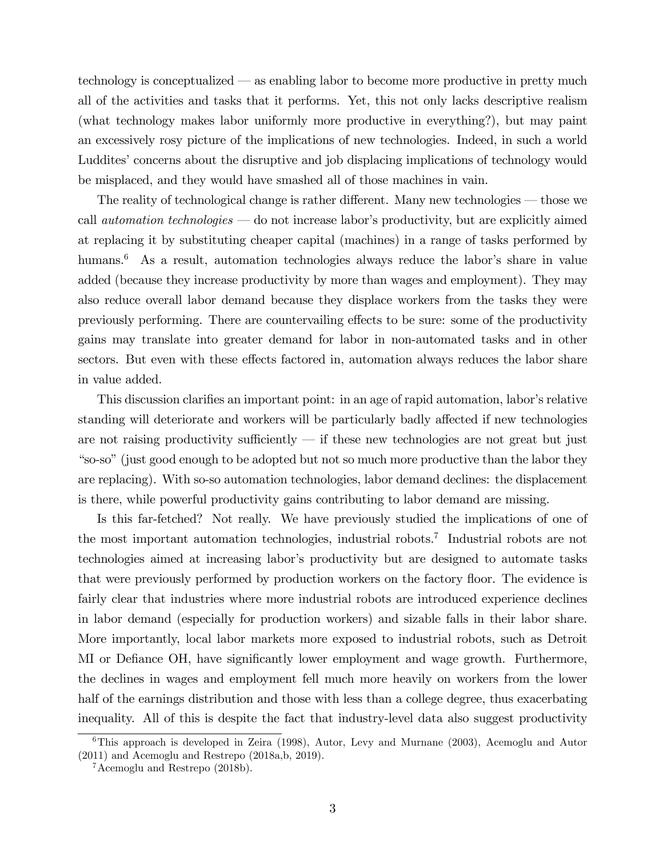technology is conceptualized  $\sim$  as enabling labor to become more productive in pretty much all of the activities and tasks that it performs. Yet, this not only lacks descriptive realism (what technology makes labor uniformly more productive in everything?), but may paint an excessively rosy picture of the implications of new technologies. Indeed, in such a world Luddites' concerns about the disruptive and job displacing implications of technology would be misplaced, and they would have smashed all of those machines in vain.

The reality of technological change is rather different. Many new technologies  $-$  those we call *automation technologies*  $\sim$  do not increase labor's productivity, but are explicitly aimed at replacing it by substituting cheaper capital (machines) in a range of tasks performed by humans.<sup>6</sup> As a result, automation technologies always reduce the labor's share in value added (because they increase productivity by more than wages and employment). They may also reduce overall labor demand because they displace workers from the tasks they were previously performing. There are countervailing effects to be sure: some of the productivity gains may translate into greater demand for labor in non-automated tasks and in other sectors. But even with these effects factored in, automation always reduces the labor share in value added.

This discussion clarifies an important point: in an age of rapid automation, labor's relative standing will deteriorate and workers will be particularly badly affected if new technologies are not raising productivity sufficiently  $-$  if these new technologies are not great but just ìso-soî(just good enough to be adopted but not so much more productive than the labor they are replacing). With so-so automation technologies, labor demand declines: the displacement is there, while powerful productivity gains contributing to labor demand are missing.

Is this far-fetched? Not really. We have previously studied the implications of one of the most important automation technologies, industrial robots.<sup>7</sup> Industrial robots are not technologies aimed at increasing laborís productivity but are designed to automate tasks that were previously performed by production workers on the factory floor. The evidence is fairly clear that industries where more industrial robots are introduced experience declines in labor demand (especially for production workers) and sizable falls in their labor share. More importantly, local labor markets more exposed to industrial robots, such as Detroit MI or Defiance OH, have significantly lower employment and wage growth. Furthermore, the declines in wages and employment fell much more heavily on workers from the lower half of the earnings distribution and those with less than a college degree, thus exacerbating inequality. All of this is despite the fact that industry-level data also suggest productivity

 $6$ This approach is developed in Zeira (1998), Autor, Levy and Murnane (2003), Acemoglu and Autor (2011) and Acemoglu and Restrepo (2018a,b, 2019).

 $7$ Acemoglu and Restrepo (2018b).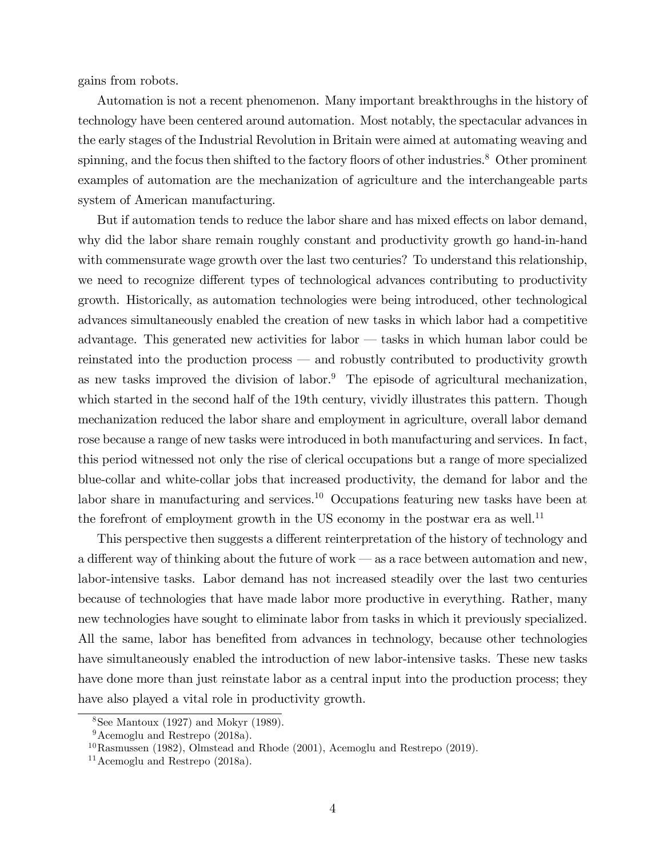gains from robots.

Automation is not a recent phenomenon. Many important breakthroughs in the history of technology have been centered around automation. Most notably, the spectacular advances in the early stages of the Industrial Revolution in Britain were aimed at automating weaving and spinning, and the focus then shifted to the factory floors of other industries.<sup>8</sup> Other prominent examples of automation are the mechanization of agriculture and the interchangeable parts system of American manufacturing.

But if automation tends to reduce the labor share and has mixed effects on labor demand, why did the labor share remain roughly constant and productivity growth go hand-in-hand with commensurate wage growth over the last two centuries? To understand this relationship, we need to recognize different types of technological advances contributing to productivity growth. Historically, as automation technologies were being introduced, other technological advances simultaneously enabled the creation of new tasks in which labor had a competitive advantage. This generated new activities for labor  $-$  tasks in which human labor could be reinstated into the production process  $\sim$  and robustly contributed to productivity growth as new tasks improved the division of labor. $9$  The episode of agricultural mechanization, which started in the second half of the 19th century, vividly illustrates this pattern. Though mechanization reduced the labor share and employment in agriculture, overall labor demand rose because a range of new tasks were introduced in both manufacturing and services. In fact, this period witnessed not only the rise of clerical occupations but a range of more specialized blue-collar and white-collar jobs that increased productivity, the demand for labor and the labor share in manufacturing and services.<sup>10</sup> Occupations featuring new tasks have been at the forefront of employment growth in the US economy in the postwar era as well.<sup>11</sup>

This perspective then suggests a different reinterpretation of the history of technology and a different way of thinking about the future of work – as a race between automation and new, labor-intensive tasks. Labor demand has not increased steadily over the last two centuries because of technologies that have made labor more productive in everything. Rather, many new technologies have sought to eliminate labor from tasks in which it previously specialized. All the same, labor has benefited from advances in technology, because other technologies have simultaneously enabled the introduction of new labor-intensive tasks. These new tasks have done more than just reinstate labor as a central input into the production process; they have also played a vital role in productivity growth.

 $8$ See Mantoux (1927) and Mokyr (1989).

 $9$ Acemoglu and Restrepo (2018a).

 $^{10}$ Rasmussen (1982), Olmstead and Rhode (2001), Acemoglu and Restrepo (2019).

 $11$ Acemoglu and Restrepo (2018a).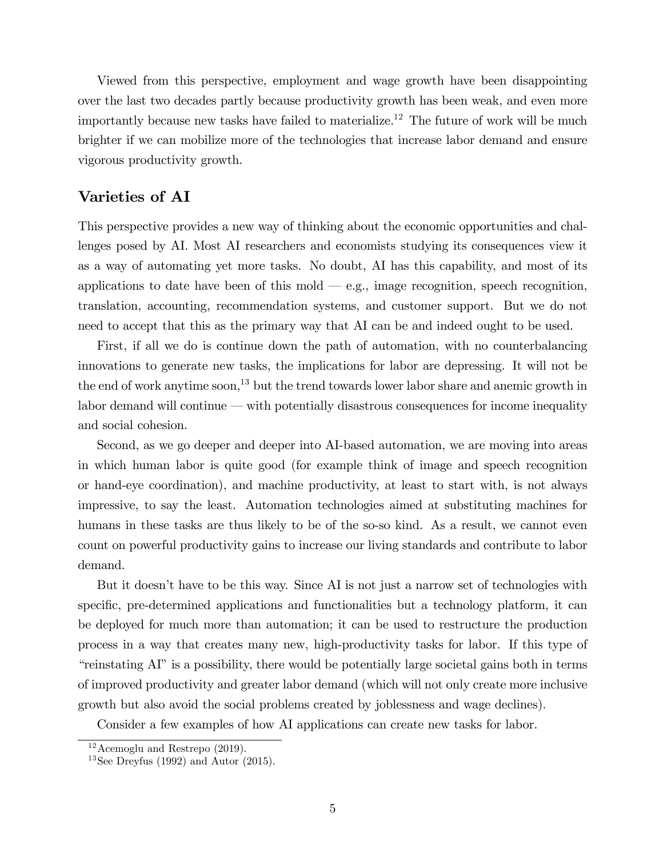Viewed from this perspective, employment and wage growth have been disappointing over the last two decades partly because productivity growth has been weak, and even more importantly because new tasks have failed to materialize.<sup>12</sup> The future of work will be much brighter if we can mobilize more of the technologies that increase labor demand and ensure vigorous productivity growth.

## Varieties of AI

This perspective provides a new way of thinking about the economic opportunities and challenges posed by AI. Most AI researchers and economists studying its consequences view it as a way of automating yet more tasks. No doubt, AI has this capability, and most of its applications to date have been of this mold  $-e.g.,$  image recognition, speech recognition, translation, accounting, recommendation systems, and customer support. But we do not need to accept that this as the primary way that AI can be and indeed ought to be used.

First, if all we do is continue down the path of automation, with no counterbalancing innovations to generate new tasks, the implications for labor are depressing. It will not be the end of work anytime soon,<sup>13</sup> but the trend towards lower labor share and anemic growth in labor demand will continue  $-\text{ with potentially disastrous consequences for income inequality}$ and social cohesion.

Second, as we go deeper and deeper into AI-based automation, we are moving into areas in which human labor is quite good (for example think of image and speech recognition or hand-eye coordination), and machine productivity, at least to start with, is not always impressive, to say the least. Automation technologies aimed at substituting machines for humans in these tasks are thus likely to be of the so-so kind. As a result, we cannot even count on powerful productivity gains to increase our living standards and contribute to labor demand.

But it doesn't have to be this way. Since AI is not just a narrow set of technologies with specific, pre-determined applications and functionalities but a technology platform, it can be deployed for much more than automation; it can be used to restructure the production process in a way that creates many new, high-productivity tasks for labor. If this type of ìreinstating AIîis a possibility, there would be potentially large societal gains both in terms of improved productivity and greater labor demand (which will not only create more inclusive growth but also avoid the social problems created by joblessness and wage declines).

Consider a few examples of how AI applications can create new tasks for labor.

 $12$  Acemoglu and Restrepo (2019).

<sup>&</sup>lt;sup>13</sup>See Dreyfus (1992) and Autor (2015).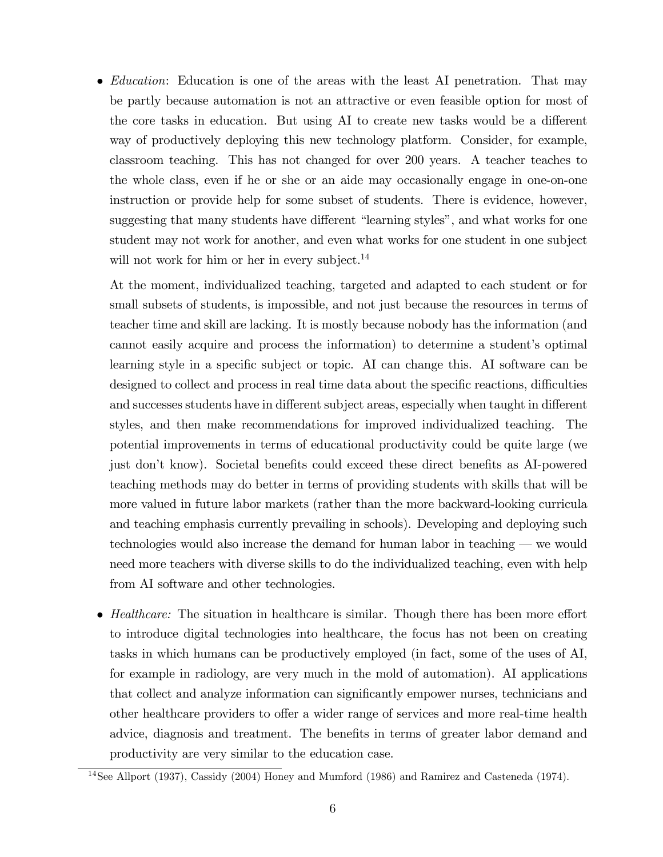• *Education*: Education is one of the areas with the least AI penetration. That may be partly because automation is not an attractive or even feasible option for most of the core tasks in education. But using AI to create new tasks would be a different way of productively deploying this new technology platform. Consider, for example, classroom teaching. This has not changed for over 200 years. A teacher teaches to the whole class, even if he or she or an aide may occasionally engage in one-on-one instruction or provide help for some subset of students. There is evidence, however, suggesting that many students have different "learning styles", and what works for one student may not work for another, and even what works for one student in one subject will not work for him or her in every subject. $^{14}$ 

At the moment, individualized teaching, targeted and adapted to each student or for small subsets of students, is impossible, and not just because the resources in terms of teacher time and skill are lacking. It is mostly because nobody has the information (and cannot easily acquire and process the information) to determine a student's optimal learning style in a specific subject or topic. AI can change this. AI software can be designed to collect and process in real time data about the specific reactions, difficulties and successes students have in different subject areas, especially when taught in different styles, and then make recommendations for improved individualized teaching. The potential improvements in terms of educational productivity could be quite large (we just don't know). Societal benefits could exceed these direct benefits as AI-powered teaching methods may do better in terms of providing students with skills that will be more valued in future labor markets (rather than the more backward-looking curricula and teaching emphasis currently prevailing in schools). Developing and deploying such technologies would also increase the demand for human labor in teaching  $\sim$  we would need more teachers with diverse skills to do the individualized teaching, even with help from AI software and other technologies.

 $\bullet$  *Healthcare:* The situation in healthcare is similar. Though there has been more effort to introduce digital technologies into healthcare, the focus has not been on creating tasks in which humans can be productively employed (in fact, some of the uses of AI, for example in radiology, are very much in the mold of automation). AI applications that collect and analyze information can significantly empower nurses, technicians and other healthcare providers to offer a wider range of services and more real-time health advice, diagnosis and treatment. The benefits in terms of greater labor demand and productivity are very similar to the education case.

<sup>&</sup>lt;sup>14</sup>See Allport (1937), Cassidy (2004) Honey and Mumford (1986) and Ramirez and Casteneda (1974).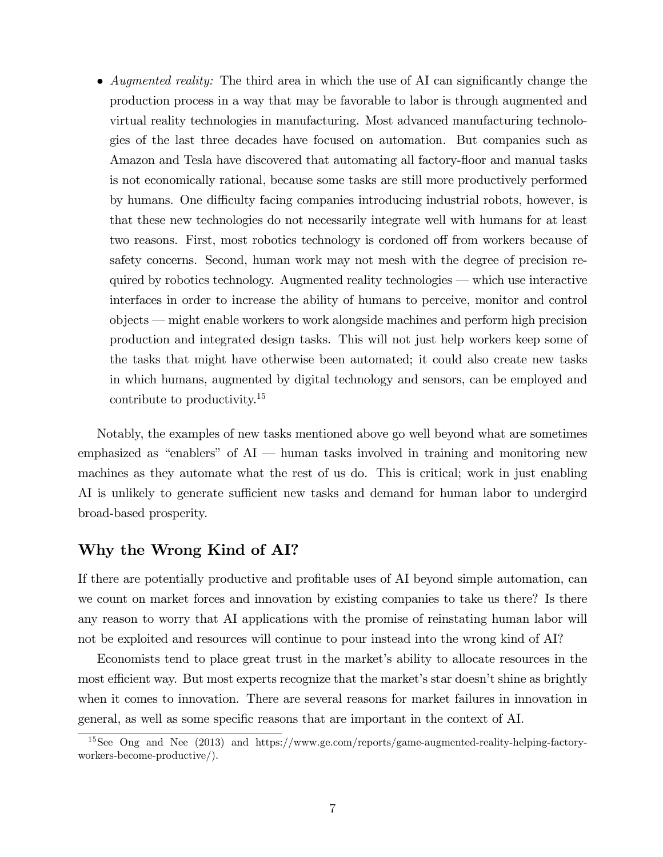• Augmented reality: The third area in which the use of AI can significantly change the production process in a way that may be favorable to labor is through augmented and virtual reality technologies in manufacturing. Most advanced manufacturing technologies of the last three decades have focused on automation. But companies such as Amazon and Tesla have discovered that automating all factory-floor and manual tasks is not economically rational, because some tasks are still more productively performed by humans. One difficulty facing companies introducing industrial robots, however, is that these new technologies do not necessarily integrate well with humans for at least two reasons. First, most robotics technology is cordoned off from workers because of safety concerns. Second, human work may not mesh with the degree of precision required by robotics technology. Augmented reality technologies  $-$  which use interactive interfaces in order to increase the ability of humans to perceive, monitor and control objects – might enable workers to work alongside machines and perform high precision production and integrated design tasks. This will not just help workers keep some of the tasks that might have otherwise been automated; it could also create new tasks in which humans, augmented by digital technology and sensors, can be employed and contribute to productivity.<sup>15</sup>

Notably, the examples of new tasks mentioned above go well beyond what are sometimes emphasized as "enablers" of  $AI$   $\rightarrow$  human tasks involved in training and monitoring new machines as they automate what the rest of us do. This is critical; work in just enabling AI is unlikely to generate sufficient new tasks and demand for human labor to undergird broad-based prosperity.

## Why the Wrong Kind of AI?

If there are potentially productive and profitable uses of AI beyond simple automation, can we count on market forces and innovation by existing companies to take us there? Is there any reason to worry that AI applications with the promise of reinstating human labor will not be exploited and resources will continue to pour instead into the wrong kind of AI?

Economists tend to place great trust in the market's ability to allocate resources in the most efficient way. But most experts recognize that the market's star doesn't shine as brightly when it comes to innovation. There are several reasons for market failures in innovation in general, as well as some specific reasons that are important in the context of AI.

<sup>15</sup>See Ong and Nee (2013) and https://www.ge.com/reports/game-augmented-reality-helping-factoryworkers-become-productive/).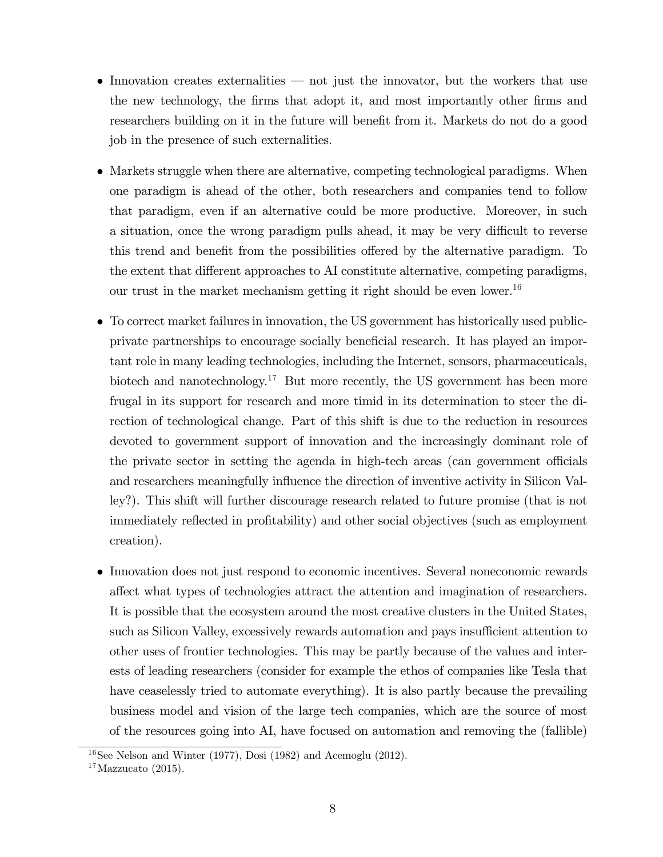- Innovation creates externalities  $\overline{\phantom{a}}$  not just the innovator, but the workers that use the new technology, the firms that adopt it, and most importantly other firms and researchers building on it in the future will benefit from it. Markets do not do a good job in the presence of such externalities.
- Markets struggle when there are alternative, competing technological paradigms. When one paradigm is ahead of the other, both researchers and companies tend to follow that paradigm, even if an alternative could be more productive. Moreover, in such a situation, once the wrong paradigm pulls ahead, it may be very difficult to reverse this trend and benefit from the possibilities offered by the alternative paradigm. To the extent that different approaches to AI constitute alternative, competing paradigms, our trust in the market mechanism getting it right should be even lower.<sup>16</sup>
- To correct market failures in innovation, the US government has historically used publicprivate partnerships to encourage socially beneficial research. It has played an important role in many leading technologies, including the Internet, sensors, pharmaceuticals, biotech and nanotechnology.<sup>17</sup> But more recently, the US government has been more frugal in its support for research and more timid in its determination to steer the direction of technological change. Part of this shift is due to the reduction in resources devoted to government support of innovation and the increasingly dominant role of the private sector in setting the agenda in high-tech areas (can government officials and researchers meaningfully influence the direction of inventive activity in Silicon Valley?). This shift will further discourage research related to future promise (that is not immediately reflected in profitability) and other social objectives (such as employment creation).
- Innovation does not just respond to economic incentives. Several noneconomic rewards affect what types of technologies attract the attention and imagination of researchers. It is possible that the ecosystem around the most creative clusters in the United States, such as Silicon Valley, excessively rewards automation and pays insufficient attention to other uses of frontier technologies. This may be partly because of the values and interests of leading researchers (consider for example the ethos of companies like Tesla that have ceaselessly tried to automate everything). It is also partly because the prevailing business model and vision of the large tech companies, which are the source of most of the resources going into AI, have focused on automation and removing the (fallible)

 $16$ See Nelson and Winter (1977), Dosi (1982) and Acemoglu (2012).

 $17$ Mazzucato (2015).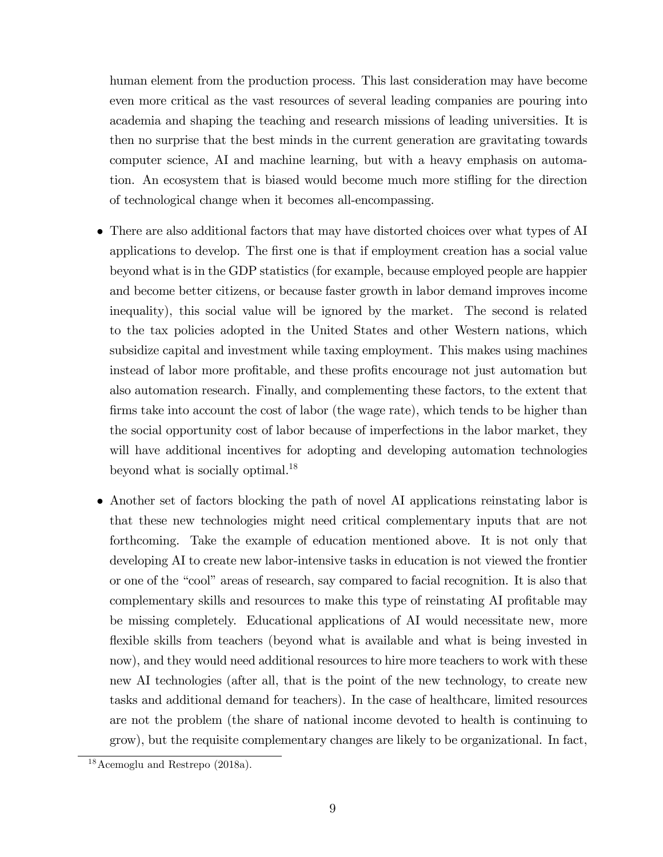human element from the production process. This last consideration may have become even more critical as the vast resources of several leading companies are pouring into academia and shaping the teaching and research missions of leading universities. It is then no surprise that the best minds in the current generation are gravitating towards computer science, AI and machine learning, but with a heavy emphasis on automation. An ecosystem that is biased would become much more stifling for the direction of technological change when it becomes all-encompassing.

- There are also additional factors that may have distorted choices over what types of AI applications to develop. The Örst one is that if employment creation has a social value beyond what is in the GDP statistics (for example, because employed people are happier and become better citizens, or because faster growth in labor demand improves income inequality), this social value will be ignored by the market. The second is related to the tax policies adopted in the United States and other Western nations, which subsidize capital and investment while taxing employment. This makes using machines instead of labor more profitable, and these profits encourage not just automation but also automation research. Finally, and complementing these factors, to the extent that firms take into account the cost of labor (the wage rate), which tends to be higher than the social opportunity cost of labor because of imperfections in the labor market, they will have additional incentives for adopting and developing automation technologies beyond what is socially optimal.<sup>18</sup>
- Another set of factors blocking the path of novel AI applications reinstating labor is that these new technologies might need critical complementary inputs that are not forthcoming. Take the example of education mentioned above. It is not only that developing AI to create new labor-intensive tasks in education is not viewed the frontier or one of the "cool" areas of research, say compared to facial recognition. It is also that complementary skills and resources to make this type of reinstating AI profitable may be missing completely. Educational applications of AI would necessitate new, more flexible skills from teachers (beyond what is available and what is being invested in now), and they would need additional resources to hire more teachers to work with these new AI technologies (after all, that is the point of the new technology, to create new tasks and additional demand for teachers). In the case of healthcare, limited resources are not the problem (the share of national income devoted to health is continuing to grow), but the requisite complementary changes are likely to be organizational. In fact,

<sup>18</sup>Acemoglu and Restrepo (2018a).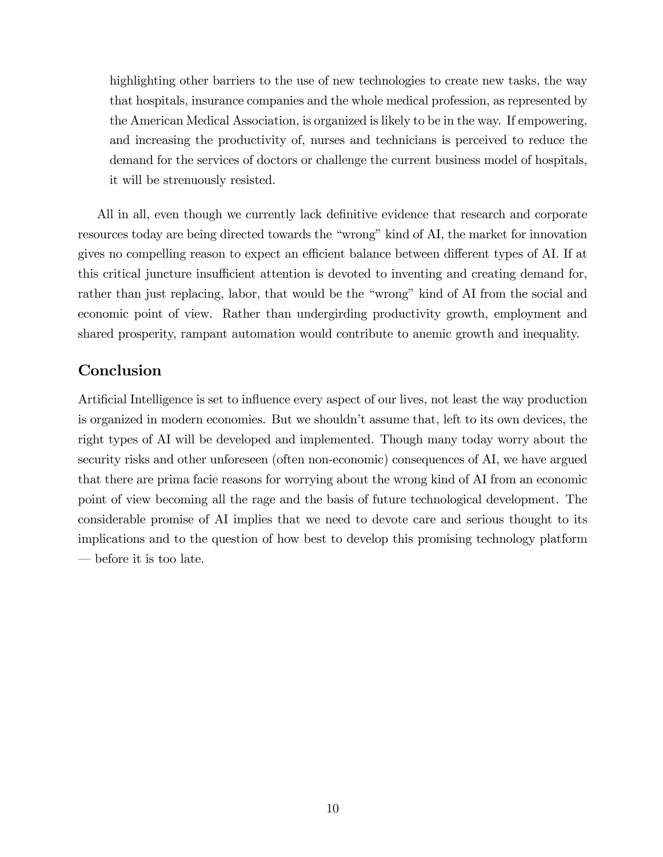highlighting other barriers to the use of new technologies to create new tasks, the way that hospitals, insurance companies and the whole medical profession, as represented by the American Medical Association, is organized is likely to be in the way. If empowering, and increasing the productivity of, nurses and technicians is perceived to reduce the demand for the services of doctors or challenge the current business model of hospitals, it will be strenuously resisted.

All in all, even though we currently lack definitive evidence that research and corporate resources today are being directed towards the "wrong" kind of AI, the market for innovation gives no compelling reason to expect an efficient balance between different types of AI. If at this critical juncture insufficient attention is devoted to inventing and creating demand for, rather than just replacing, labor, that would be the "wrong" kind of AI from the social and economic point of view. Rather than undergirding productivity growth, employment and shared prosperity, rampant automation would contribute to anemic growth and inequality.

# Conclusion

Artificial Intelligence is set to influence every aspect of our lives, not least the way production is organized in modern economies. But we shouldn't assume that, left to its own devices, the right types of AI will be developed and implemented. Though many today worry about the security risks and other unforeseen (often non-economic) consequences of AI, we have argued that there are prima facie reasons for worrying about the wrong kind of AI from an economic point of view becoming all the rage and the basis of future technological development. The considerable promise of AI implies that we need to devote care and serious thought to its implications and to the question of how best to develop this promising technology platform  $\theta$  before it is too late.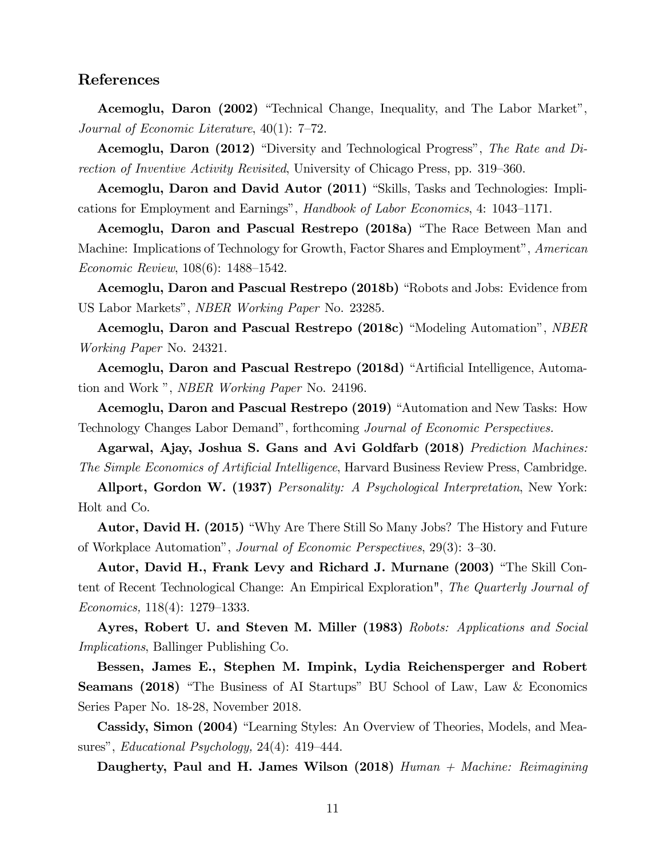### References

Acemoglu, Daron (2002) "Technical Change, Inequality, and The Labor Market", Journal of Economic Literature,  $40(1)$ : 7–72.

**Acemoglu, Daron (2012)** "Diversity and Technological Progress", The Rate and Direction of Inventive Activity Revisited, University of Chicago Press, pp. 319–360.

Acemoglu, Daron and David Autor (2011) "Skills, Tasks and Technologies: Implications for Employment and Earnings", Handbook of Labor Economics, 4:  $1043-1171$ .

Acemoglu, Daron and Pascual Restrepo (2018a) "The Race Between Man and Machine: Implications of Technology for Growth, Factor Shares and Employment", American Economic Review,  $108(6)$ : 1488–1542.

Acemoglu, Daron and Pascual Restrepo (2018b) "Robots and Jobs: Evidence from US Labor Markets", *NBER Working Paper* No. 23285.

Acemoglu, Daron and Pascual Restrepo (2018c) "Modeling Automation", NBER Working Paper No. 24321.

Acemoglu, Daron and Pascual Restrepo (2018d) "Artificial Intelligence, Automation and Work", *NBER Working Paper* No. 24196.

Acemoglu, Daron and Pascual Restrepo (2019) "Automation and New Tasks: How Technology Changes Labor Demand", forthcoming Journal of Economic Perspectives.

Agarwal, Ajay, Joshua S. Gans and Avi Goldfarb (2018) Prediction Machines: The Simple Economics of Artificial Intelligence, Harvard Business Review Press, Cambridge.

Allport, Gordon W. (1937) Personality: A Psychological Interpretation, New York: Holt and Co.

**Autor, David H. (2015)** "Why Are There Still So Many Jobs? The History and Future of Workplace Automation", *Journal of Economic Perspectives*,  $29(3)$ :  $3-30$ .

Autor, David H., Frank Levy and Richard J. Murnane (2003) "The Skill Content of Recent Technological Change: An Empirical Exploration", The Quarterly Journal of Economics,  $118(4)$ :  $1279-1333$ .

Ayres, Robert U. and Steven M. Miller (1983) Robots: Applications and Social Implications, Ballinger Publishing Co.

Bessen, James E., Stephen M. Impink, Lydia Reichensperger and Robert **Seamans (2018)** "The Business of AI Startups" BU School of Law, Law & Economics Series Paper No. 18-28, November 2018.

Cassidy, Simon (2004) "Learning Styles: An Overview of Theories, Models, and Measures", *Educational Psychology*,  $24(4)$ :  $419-444$ .

Daugherty, Paul and H. James Wilson  $(2018)$  Human + Machine: Reimagining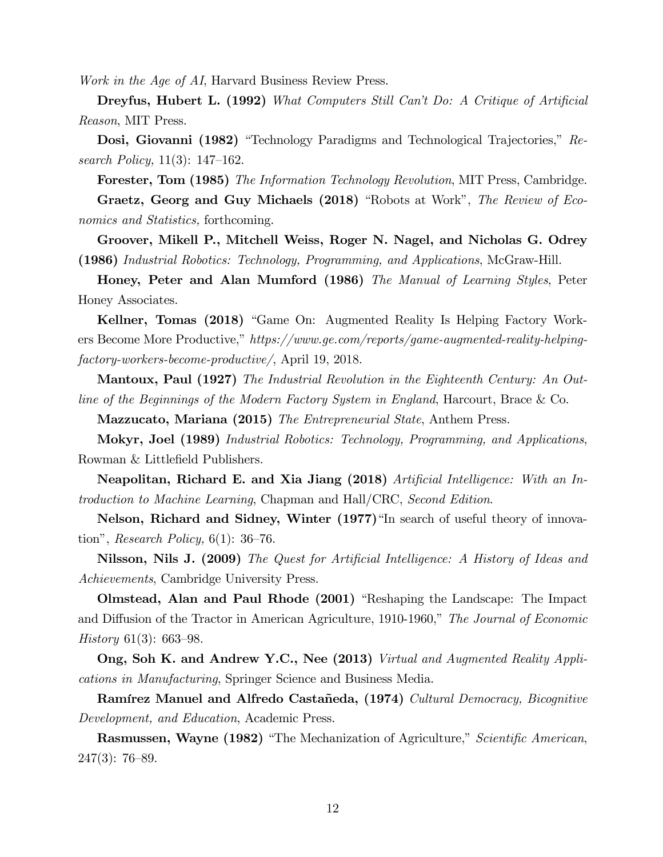Work in the Age of AI, Harvard Business Review Press.

**Dreyfus, Hubert L. (1992)** What Computers Still Can't Do: A Critique of Artificial Reason, MIT Press.

Dosi, Giovanni (1982) "Technology Paradigms and Technological Trajectories," Research Policy,  $11(3)$ :  $147-162$ .

**Forester, Tom (1985)** The Information Technology Revolution, MIT Press, Cambridge.

Graetz, Georg and Guy Michaels (2018) "Robots at Work", The Review of Economics and Statistics, forthcoming.

Groover, Mikell P., Mitchell Weiss, Roger N. Nagel, and Nicholas G. Odrey (1986) Industrial Robotics: Technology, Programming, and Applications, McGraw-Hill.

Honey, Peter and Alan Mumford (1986) The Manual of Learning Styles, Peter Honey Associates.

Kellner, Tomas (2018) "Game On: Augmented Reality Is Helping Factory Workers Become More Productive," https://www.ge.com/reports/game-augmented-reality-helpingfactory-workers-become-productive/, April 19, 2018.

**Mantoux, Paul (1927)** The Industrial Revolution in the Eighteenth Century: An Outline of the Beginnings of the Modern Factory System in England, Harcourt, Brace & Co.

Mazzucato, Mariana (2015) The Entrepreneurial State, Anthem Press.

Mokyr, Joel (1989) Industrial Robotics: Technology, Programming, and Applications, Rowman & Littlefield Publishers.

Neapolitan, Richard E. and Xia Jiang (2018)  $Artificial Intelligence: With an In$ troduction to Machine Learning, Chapman and Hall/CRC, Second Edition.

Nelson, Richard and Sidney, Winter  $(1977)$  <sup>"In search of useful theory of innova-</sup> tion", Research Policy,  $6(1)$ : 36–76.

Nilsson, Nils J. (2009) The Quest for Artificial Intelligence: A History of Ideas and Achievements, Cambridge University Press.

Olmstead, Alan and Paul Rhode (2001) "Reshaping the Landscape: The Impact and Diffusion of the Tractor in American Agriculture, 1910-1960," The Journal of Economic History 61(3): 663–98.

Ong, Soh K. and Andrew Y.C., Nee (2013) Virtual and Augmented Reality Applications in Manufacturing, Springer Science and Business Media.

Ramírez Manuel and Alfredo Castañeda,  $(1974)$  Cultural Democracy, Bicognitive Development, and Education, Academic Press.

**Rasmussen, Wayne (1982)** "The Mechanization of Agriculture," Scientific American,  $247(3): 76-89.$